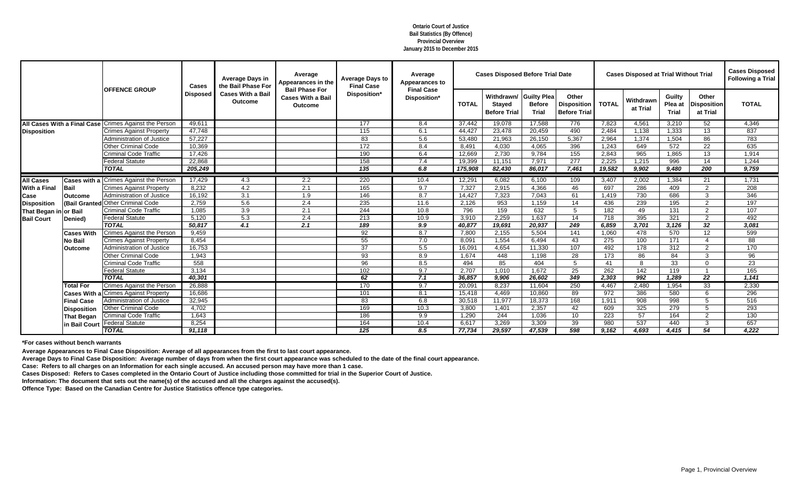|                                    |                    |                                               | <b>Cases</b>    | <b>Average Days in</b><br>the Bail Phase For | Average<br>Appearances in the                                       | <b>Average Days to</b><br><b>Final Case</b> | Average<br><b>Appearances to</b>  |              | <b>Cases Disposed Before Trial Date</b>            |                                                     |                                                    |              | <b>Cases Disposed at Trial Without Trial</b> |                                   |                                         | <b>Cases Disposed</b><br><b>Following a Trial</b> |
|------------------------------------|--------------------|-----------------------------------------------|-----------------|----------------------------------------------|---------------------------------------------------------------------|---------------------------------------------|-----------------------------------|--------------|----------------------------------------------------|-----------------------------------------------------|----------------------------------------------------|--------------|----------------------------------------------|-----------------------------------|-----------------------------------------|---------------------------------------------------|
|                                    |                    | <b>OFFENCE GROUP</b>                          | <b>Disposed</b> | <b>Cases With a Bail</b><br><b>Outcome</b>   | <b>Bail Phase For</b><br><b>Cases With a Bail</b><br><b>Outcome</b> | Disposition*                                | <b>Final Case</b><br>Disposition* | <b>TOTAL</b> | Withdrawn/<br><b>Stayed</b><br><b>Before Trial</b> | <b>Guilty Plea</b><br><b>Before</b><br><b>Trial</b> | Other<br><b>Disposition</b><br><b>Before Trial</b> | <b>TOTAL</b> | Withdrawn<br>at Trial                        | Guilty<br>Plea at<br><b>Trial</b> | Other<br><b>Disposition</b><br>at Trial | <b>TOTAL</b>                                      |
| <b>All Cases With a Final Case</b> |                    | <b>Crimes Against the Persor</b>              | 49,611          |                                              |                                                                     | 177                                         | 8.4                               | 37,442       | 19,078                                             | 17,588                                              | 776                                                | 7,823        | 4,561                                        | 3,210                             | 52                                      | 4,346                                             |
| <b>Disposition</b>                 |                    | <b>Crimes Against Property</b>                | 47,748          |                                              |                                                                     | 115                                         | 6.1                               | 44,427       | 23,478                                             | 20,459                                              | 490                                                | 2,484        | 1,138                                        | 1,333                             | 13                                      | 837                                               |
|                                    |                    | <b>Administration of Justice</b>              | 57,227          |                                              |                                                                     | 83                                          | 5.6                               | 53,480       | 21,963                                             | 26,150                                              | 5,367                                              | 2,964        | 1,374                                        | 1,504                             | 86                                      | 783                                               |
|                                    |                    | <b>Other Criminal Code</b>                    | 10,369          |                                              |                                                                     | 172                                         | 8.4                               | 8,491        | 4,030                                              | 4,065                                               | 396                                                | 1,243        | 649                                          | 572                               | 22                                      | 635                                               |
|                                    |                    | <b>Criminal Code Traffic</b>                  | 17,426          |                                              |                                                                     | 190                                         | 6.4                               | 12,669       | 2,730                                              | 9,784                                               | 155                                                | 2,843        | 965                                          | 1,865                             | 13                                      | 1,914                                             |
|                                    |                    | <b>Federal Statute</b>                        | 22,868          |                                              |                                                                     | 158                                         | 7.4                               | 19,399       | 11,151                                             | 7,971                                               | 277                                                | 2,225        | 1,215                                        | 996                               | 14                                      | 1,244                                             |
|                                    |                    | <b>TOTAL</b>                                  | 205,249         |                                              |                                                                     | 135                                         | 6.8                               | 175,908      | 82,430                                             | 86,017                                              | 7,461                                              | 19,582       | 9,902                                        | 9,480                             | 200                                     | 9,759                                             |
| <b>All Cases</b>                   |                    | <b>Cases with a Crimes Against the Person</b> | 17,429          | 4.3                                          | 2.2                                                                 | 220                                         | 10.4                              | 12,291       | 6,082                                              | 6,100                                               | 109                                                | 3,407        | 2,002                                        | 1,384                             | 21                                      | 1,731                                             |
| <b>With a Final</b>                | Bail               | <b>Crimes Against Property</b>                | 8,232           | 4.2                                          | 2.1                                                                 | 165                                         | 9.7                               | 7,327        | 2,915                                              | 4,366                                               | 46                                                 | 697          | 286                                          | 409                               | 2                                       | 208                                               |
| <b>Case</b>                        | <b>Outcome</b>     | <b>Administration of Justice</b>              | 16,192          | 3.1                                          | 1.9                                                                 | 146                                         | 8.7                               | 14,427       | 7,323                                              | 7,043                                               | 61                                                 | 1,419        | 730                                          | 686                               | 3                                       | 346                                               |
| <b>Disposition</b>                 | (Bail Granted      | <b>Other Criminal Code</b>                    | 2,759           | 5.6                                          | 2.4                                                                 | 235                                         | 11.6                              | 2,126        | 953                                                | 1,159                                               | 14                                                 | 436          | 239                                          | 195                               | $\overline{2}$                          | 197                                               |
| That Began in or Bail              |                    | <b>Criminal Code Traffic</b>                  | 1,085           | 3.9                                          | 2.1                                                                 | 244                                         | 10.8                              | 796          | 159                                                | 632                                                 | 5                                                  | 182          | 49                                           | 131                               | $\overline{2}$                          | 107                                               |
| <b>Bail Court</b>                  | Denied)            | <b>Federal Statute</b>                        | 5,120           | 5.3                                          | 2.4                                                                 | 213                                         | 10.9                              | 3,910        | 2,259                                              | 1,637                                               | 14                                                 | 718          | 395                                          | 321                               | 2                                       | 492                                               |
|                                    |                    | <b>TOTAL</b>                                  | 50,817          | 4.1                                          | 2.1                                                                 | 189                                         | 9.9                               | 40,877       | 19,691                                             | 20,937                                              | 249                                                | 6,859        | 3,701                                        | 3,126                             | $\overline{32}$                         | 3,081                                             |
|                                    | <b>Cases With</b>  | <b>Crimes Against the Person</b>              | 9,459           |                                              |                                                                     | 92                                          | 8.7                               | 7,800        | 2,155                                              | 5,504                                               | 141                                                | 1,060        | 478                                          | 570                               | 12                                      | 599                                               |
|                                    | <b>No Bail</b>     | <b>Crimes Against Property</b>                | 8,454           |                                              |                                                                     | 55                                          | 7.0                               | 8,091        | 1,554                                              | 6,494                                               | 43                                                 | 275          | 100                                          | 171                               |                                         | 88                                                |
|                                    | <b>Outcome</b>     | <b>Administration of Justice</b>              | 16,753          |                                              |                                                                     | 37                                          | 5.5                               | 16,091       | 4,654                                              | 11,330                                              | 107                                                | 492          | 178                                          | 312                               | 2                                       | 170                                               |
|                                    |                    | <b>Other Criminal Code</b>                    | 1,943           |                                              |                                                                     | 93                                          | 8.9                               | 1,674        | 448                                                | 1,198                                               | 28                                                 | 173          | 86                                           | 84                                | 3                                       | 96                                                |
|                                    |                    | <b>Criminal Code Traffic</b>                  | 558             |                                              |                                                                     | 96                                          | 8.5                               | 494          | 85                                                 | 404                                                 | 5                                                  | 41           | 8                                            | 33                                | $\Omega$                                | 23                                                |
|                                    |                    | <b>Federal Statute</b>                        | 3,134           |                                              |                                                                     | 102                                         | 9.7                               | 2,707        | 1,010                                              | 1,672                                               | 25                                                 | 262          | 142                                          | 119                               |                                         | 165                                               |
|                                    |                    | <b>TOTAL</b>                                  | 40,301          |                                              |                                                                     | 62                                          | 7.1                               | 36,857       | 9,906                                              | 26,602                                              | 349                                                | 2,303        | 992                                          | 1,289                             | $\overline{22}$                         | 1,141                                             |
|                                    | <b>Total For</b>   | <b>Crimes Against the Person</b>              | 26,888          |                                              |                                                                     | 170                                         | 9.7                               | 20,091       | 8,237                                              | 11,604                                              | 250                                                | 4,467        | 2,480                                        | 1,954                             | 33                                      | 2,330                                             |
|                                    |                    | <b>Cases With a Crimes Against Property</b>   | 16,686          |                                              |                                                                     | 101                                         | 8.1                               | 15,418       | 4,469                                              | 10,860                                              | 89                                                 | 972          | 386                                          | 580                               | 6                                       | 296                                               |
|                                    | <b>Final Case</b>  | <b>Administration of Justice</b>              | 32,945          |                                              |                                                                     | 83                                          | 6.8                               | 30,518       | 11,977                                             | 18,373                                              | 168                                                | 1,911        | 908                                          | 998                               | 5                                       | 516                                               |
|                                    | <b>Disposition</b> | <b>Other Criminal Code</b>                    | 4,702           |                                              |                                                                     | 169                                         | 10.3                              | 3,800        | 1,401                                              | 2,357                                               | 42                                                 | 609          | 325                                          | 279                               | 5                                       | 293                                               |
|                                    | <b>That Began</b>  | Criminal Code Traffic                         | 1,643           |                                              |                                                                     | 186                                         | 9.9                               | 1,290        | 244                                                | 1,036                                               | 10                                                 | 223          | 57                                           | 164                               | $\overline{2}$                          | 130                                               |
|                                    | in Bail Court      | Federal Statute                               | 8,254           |                                              |                                                                     | 164                                         | 10.4                              | 6,617        | 3,269                                              | 3,309                                               | 39                                                 | 980          | 537                                          | 440                               | 3                                       | 657                                               |
|                                    |                    | <b>TOTAL</b>                                  | 91,118          |                                              |                                                                     | $\overline{125}$                            | 8.5                               | 77,734       | 29,597                                             | 47,539                                              | 598                                                | 9,162        | 4,693                                        | 4,415                             | 54                                      | 4,222                                             |

**Average Appearances to Final Case Disposition: Average of all appearances from the first to last court appearance.**

**Average Days to Final Case Disposition: Average number of days from when the first court appearance was scheduled to the date of the final court appearance.**

**Case: Refers to all charges on an Information for each single accused. An accused person may have more than 1 case.**

**Cases Disposed: Refers to Cases completed in the Ontario Court of Justice including those committed for trial in the Superior Court of Justice.**

**Information: The document that sets out the name(s) of the accused and all the charges against the accused(s).**

**Offence Type: Based on the Canadian Centre for Justice Statistics offence type categories.**

**Ontario Court of Justice Bail Statistics (By Offence) Provincial Overview January 2015 to December 2015**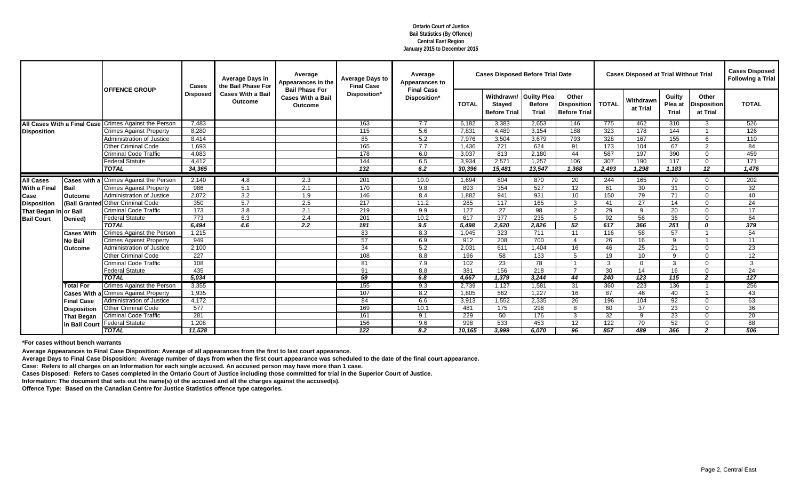|                       |                    |                                                       | <b>Cases</b>     | <b>Average Days in</b><br>the Bail Phase For | Average<br>Appearances in the                                       | <b>Average Days to</b><br><b>Final Case</b> | Average<br><b>Appearances to</b>  |              | <b>Cases Disposed Before Trial Date</b>            |                                                     |                                                    |              | <b>Cases Disposed at Trial Without Trial</b> |                                   |                                         | <b>Cases Disposed</b><br><b>Following a Trial</b> |
|-----------------------|--------------------|-------------------------------------------------------|------------------|----------------------------------------------|---------------------------------------------------------------------|---------------------------------------------|-----------------------------------|--------------|----------------------------------------------------|-----------------------------------------------------|----------------------------------------------------|--------------|----------------------------------------------|-----------------------------------|-----------------------------------------|---------------------------------------------------|
|                       |                    | <b>OFFENCE GROUP</b>                                  | <b>Disposed</b>  | <b>Cases With a Bail</b><br><b>Outcome</b>   | <b>Bail Phase For</b><br><b>Cases With a Bail</b><br><b>Outcome</b> | Disposition*                                | <b>Final Case</b><br>Disposition* | <b>TOTAL</b> | Withdrawn/<br><b>Stayed</b><br><b>Before Trial</b> | <b>Guilty Plea</b><br><b>Before</b><br><b>Trial</b> | Other<br><b>Disposition</b><br><b>Before Trial</b> | <b>TOTAL</b> | Withdrawn<br>at Trial                        | Guilty<br>Plea at<br><b>Trial</b> | Other<br><b>Disposition</b><br>at Trial | <b>TOTAL</b>                                      |
|                       |                    | All Cases With a Final Case Crimes Against the Person | 7,483            |                                              |                                                                     | 163                                         | 7.7                               | 6,182        | 3,383                                              | 2,653                                               | 146                                                | 775          | 462                                          | 310                               | 3                                       | 526                                               |
| <b>Disposition</b>    |                    | <b>Crimes Against Property</b>                        | 8,280            |                                              |                                                                     | 115                                         | 5.6                               | 7,831        | 4,489                                              | 3,154                                               | 188                                                | 323          | 178                                          | 144                               |                                         | 126                                               |
|                       |                    | Administration of Justice                             | 8,414            |                                              |                                                                     | 85                                          | 5.2                               | 7,976        | 3,504                                              | 3,679                                               | 793                                                | 328          | 167                                          | 155                               | 6                                       | 110                                               |
|                       |                    | Other Criminal Code                                   | 1,693            |                                              |                                                                     | 165                                         | 7.7                               | 1,436        | 721                                                | 624                                                 | 91                                                 | 173          | 104                                          | 67                                | 2                                       | 84                                                |
|                       |                    | <b>Criminal Code Traffic</b>                          | 4,083            |                                              |                                                                     | 178                                         | 6.0                               | 3,037        | 813                                                | 2,180                                               | 44                                                 | 587          | 197                                          | 390                               | $\Omega$                                | 459                                               |
|                       |                    | <b>Federal Statute</b>                                | 4,412            |                                              |                                                                     | 144                                         | 6.5                               | 3,934        | 2,571                                              | 1,257                                               | 106                                                | 307          | 190                                          | 117                               | $\Omega$                                | 171                                               |
|                       |                    | <b>TOTAL</b>                                          | 34,365           |                                              |                                                                     | $\overline{132}$                            | 6.2                               | 30,396       | 15,481                                             | 13,547                                              | 1,368                                              | 2,493        | 1,298                                        | 1,183                             | 12                                      | 1,476                                             |
| <b>All Cases</b>      |                    | <b>Cases with a Crimes Against the Person</b>         | 2,140            | 4.8                                          | 2.3                                                                 | 201                                         | 10.0                              | 1,694        | 804                                                | 870                                                 | $\overline{20}$                                    | 244          | 165                                          | 79                                | $\Omega$                                | 202                                               |
| <b>With a Final</b>   | <b>Bail</b>        | <b>Crimes Against Property</b>                        | 986              | 5.1                                          | 2.1                                                                 | 170                                         | 9.8                               | 893          | $\frac{1}{354}$                                    | 527                                                 | 12                                                 | 61           | 30                                           | 31                                | $\Omega$                                | 32                                                |
| <b>Case</b>           | <b>Outcome</b>     | <b>Administration of Justice</b>                      | 2,072            | 3.2                                          | 1.9                                                                 | 146                                         | 8.4                               | 1,882        | 941                                                | 931                                                 | 10 <sup>°</sup>                                    | 150          | 79                                           | 71                                | $\Omega$                                | 40                                                |
| <b>Disposition</b>    | (Bail Granted      | <b>Other Criminal Code</b>                            | 350              | 5.7                                          | 2.5                                                                 | 217                                         | 11.2                              | 285          | 117                                                | 165                                                 | $\mathbf{3}$                                       | 41           | 27                                           | 14                                | $\Omega$                                | 24                                                |
| That Began in or Bail |                    | <b>Criminal Code Traffic</b>                          | 173              | 3.8                                          | 2.1                                                                 | 219                                         | 9.9                               | 127          | 27                                                 | 98                                                  | 2                                                  | 29           | 9                                            | 20                                | $\Omega$                                | 17                                                |
| <b>Bail Court</b>     | Denied)            | <b>Federal Statute</b>                                | 773              | 6.3                                          | 2.4                                                                 | 201                                         | 10.2                              | 617          | $\overline{377}$                                   | 235                                                 | 5                                                  | 92           | 56                                           | 36                                | $\Omega$                                | 64                                                |
|                       |                    | <b>TOTAL</b>                                          | 6,494            | $\overline{4.6}$                             | 2.2                                                                 | 181                                         | 9.5                               | 5,498        | 2,620                                              | 2,826                                               | 52                                                 | 617          | 366                                          | 251                               | $\Omega$                                | 379                                               |
|                       | <b>Cases With</b>  | Crimes Against the Person                             | 1,215            |                                              |                                                                     | 83                                          | 8.3                               | 1,045        | 323                                                | 711                                                 | 11                                                 | 116          | 58                                           | 57                                |                                         | 54                                                |
|                       | No Bail            | <b>Crimes Against Property</b>                        | 949              |                                              |                                                                     | 57                                          | 6.9                               | 912          | 208                                                | 700                                                 | $\boldsymbol{\Delta}$                              | 26           | 16                                           | 9                                 |                                         | 11                                                |
|                       | <b>Outcome</b>     | <b>Administration of Justice</b>                      | 2,100            |                                              |                                                                     | 34                                          | 5.2                               | 2,031        | 611                                                | 1,404                                               | 16                                                 | 46           | 25                                           | 21                                | $\Omega$                                | 23                                                |
|                       |                    | <b>Other Criminal Code</b>                            | 227              |                                              |                                                                     | 108                                         | 8.8                               | 196          | 58                                                 | 133                                                 | 5                                                  | 19           | 10                                           | 9                                 | $\Omega$                                | 12                                                |
|                       |                    | <b>Criminal Code Traffic</b>                          | 108              |                                              |                                                                     | 81                                          | 7.9                               | 102          | 23                                                 | 78                                                  |                                                    | 3            | $\Omega$                                     | 3                                 | ∩                                       | $\mathbf{3}$                                      |
|                       |                    | <b>Federal Statute</b>                                | 435              |                                              |                                                                     | 91                                          | 8.8                               | 381          | 156                                                | 218                                                 | $\overline{ }$                                     | 30           | 14                                           | 16                                | $\Omega$                                | 24                                                |
|                       |                    | <b>TOTAL</b>                                          | 5,034            |                                              |                                                                     | 59                                          | 6.8                               | 4,667        | 1,379                                              | 3,244                                               | 44                                                 | 240          | 123                                          | 115                               | $\overline{\mathbf{2}}$                 | $\overline{127}$                                  |
|                       | <b>Total For</b>   | <b>Crimes Against the Person</b>                      | 3,355            |                                              |                                                                     | 155                                         | 9.3                               | 2,739        | 1,127                                              | 1,581                                               | 31                                                 | 360          | 223                                          | 136                               |                                         | 256                                               |
|                       |                    | <b>Cases With a Crimes Against Property</b>           | 1,935            |                                              |                                                                     | 107                                         | 8.2                               | 1,805        | 562                                                | 1,227                                               | 16                                                 | 87           | 46                                           | 40                                |                                         | 43                                                |
|                       | <b>Final Case</b>  | <b>Administration of Justice</b>                      | 4,172            |                                              |                                                                     | 84                                          | 6.6                               | 3,913        | 1,552                                              | 2,335                                               | 26                                                 | 196          | 104                                          | 92                                | 0                                       | 63                                                |
|                       | <b>Disposition</b> | <b>Other Criminal Code</b>                            | $\overline{577}$ |                                              |                                                                     | 169                                         | 10.1                              | 481          | 175                                                | 298                                                 | 8                                                  | 60           | 37                                           | 23                                | $\Omega$                                | 36                                                |
|                       | <b>That Began</b>  | <b>Criminal Code Traffic</b>                          | 281              |                                              |                                                                     | 161                                         | 9.1                               | 229          | 50                                                 | 176                                                 | 3                                                  | 32           | 9                                            | 23                                | $\Omega$                                | 20                                                |
|                       |                    | n Bail Court Federal Statute                          | 1,208            |                                              |                                                                     | 156                                         | 9.6                               | 998          | 533                                                | 453                                                 | 12                                                 | 122          | 70                                           | 52                                | $\Omega$                                | 88                                                |
|                       |                    | <b>TOTAL</b>                                          | 11,528           |                                              |                                                                     | $\overline{122}$                            | 8.2                               | 10,165       | 3,999                                              | 6,070                                               | 96                                                 | 857          | 489                                          | 366                               | $\overline{2}$                          | 506                                               |

**Average Appearances to Final Case Disposition: Average of all appearances from the first to last court appearance.**

**Average Days to Final Case Disposition: Average number of days from when the first court appearance was scheduled to the date of the final court appearance.**

**Case: Refers to all charges on an Information for each single accused. An accused person may have more than 1 case.**

**Cases Disposed: Refers to Cases completed in the Ontario Court of Justice including those committed for trial in the Superior Court of Justice.**

**Information: The document that sets out the name(s) of the accused and all the charges against the accused(s).**

**Offence Type: Based on the Canadian Centre for Justice Statistics offence type categories.**

**Ontario Court of Justice Bail Statistics (By Offence) Central East Region January 2015 to December 2015**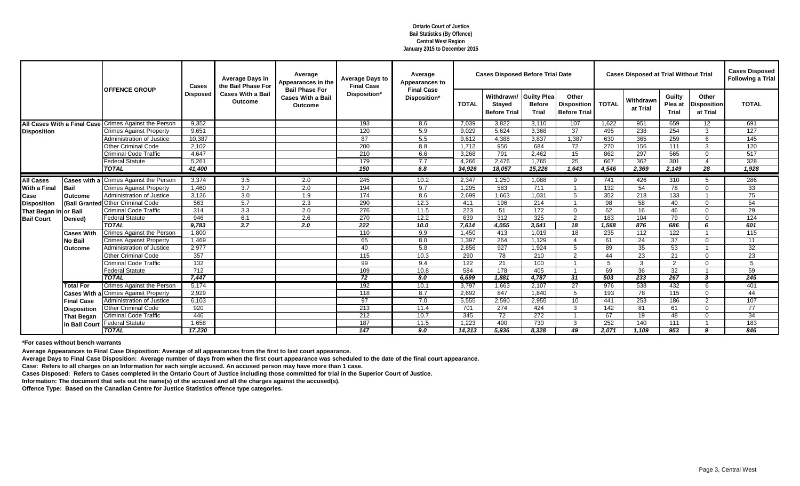|                       |                                    |                                               | <b>Cases</b>    | <b>Average Days in</b><br>the Bail Phase For | Average<br>Appearances in the                                       | <b>Average Days to</b><br><b>Final Case</b> | Average<br><b>Appearances to</b>  |              | <b>Cases Disposed Before Trial Date</b>            |                                                     |                                                    |              | <b>Cases Disposed at Trial Without Trial</b> |                                   |                                         | <b>Cases Disposed</b><br><b>Following a Trial</b> |
|-----------------------|------------------------------------|-----------------------------------------------|-----------------|----------------------------------------------|---------------------------------------------------------------------|---------------------------------------------|-----------------------------------|--------------|----------------------------------------------------|-----------------------------------------------------|----------------------------------------------------|--------------|----------------------------------------------|-----------------------------------|-----------------------------------------|---------------------------------------------------|
|                       |                                    | <b>OFFENCE GROUP</b>                          | <b>Disposed</b> | <b>Cases With a Bail</b><br><b>Outcome</b>   | <b>Bail Phase For</b><br><b>Cases With a Bail</b><br><b>Outcome</b> | Disposition*                                | <b>Final Case</b><br>Disposition* | <b>TOTAL</b> | Withdrawn/<br><b>Stayed</b><br><b>Before Trial</b> | <b>Guilty Plea</b><br><b>Before</b><br><b>Trial</b> | Other<br><b>Disposition</b><br><b>Before Trial</b> | <b>TOTAL</b> | Withdrawn<br>at Trial                        | Guilty<br>Plea at<br><b>Trial</b> | Other<br><b>Disposition</b><br>at Trial | <b>TOTAL</b>                                      |
|                       | <b>All Cases With a Final Case</b> | <b>Crimes Against the Person</b>              | 9,352           |                                              |                                                                     | 193                                         | 8.6                               | 7,039        | 3,822                                              | 3,110                                               | 107                                                | 1,622        | 951                                          | 659                               | 12                                      | 691                                               |
| <b>Disposition</b>    |                                    | <b>Crimes Against Property</b>                | 9,651           |                                              |                                                                     | 120                                         | 5.9                               | 9,029        | 5,624                                              | 3,368                                               | 37                                                 | 495          | 238                                          | 254                               | 3                                       | 127                                               |
|                       |                                    | <b>Administration of Justice</b>              | 10,387          |                                              |                                                                     | 87                                          | 5.5                               | 9,612        | 4,388                                              | 3,837                                               | 1,387                                              | 630          | 365                                          | 259                               | 6                                       | 145                                               |
|                       |                                    | <b>Other Criminal Code</b>                    | 2,102           |                                              |                                                                     | 200                                         | 8.8                               | 1,712        | 956                                                | 684                                                 | 72                                                 | 270          | 156                                          | 111                               | 3                                       | 120                                               |
|                       |                                    | <b>Criminal Code Traffic</b>                  | 4,647           |                                              |                                                                     | 210                                         | 6.6                               | 3,268        | 791                                                | 2,462                                               | 15                                                 | 862          | 297                                          | 565                               | $\Omega$                                | 517                                               |
|                       |                                    | <b>Federal Statute</b>                        | 5,261           |                                              |                                                                     | 179                                         | 7.7                               | 4,266        | 2,476                                              | 1,765                                               | 25                                                 | 667          | 362                                          | 301                               |                                         | 328                                               |
|                       |                                    | <b>TOTAL</b>                                  | 41,400          |                                              |                                                                     | 150                                         | 6.8                               | 34,926       | 18,057                                             | 15,226                                              | 1,643                                              | 4,546        | 2,369                                        | 2,149                             | 28                                      | 1,928                                             |
| <b>All Cases</b>      |                                    | <b>Cases with a Crimes Against the Person</b> | 3,374           | 3.5                                          | 2.0                                                                 | 245                                         | 10.2                              | 2,347        | 1,250                                              | 1,088                                               | 9                                                  | 741          | 426                                          | 310                               | -5                                      | 286                                               |
| <b>With a Final</b>   | Bail                               | <b>Crimes Against Property</b>                | 1,460           | 3.7                                          | 2.0                                                                 | 194                                         | 9.7                               | 1,295        | 583                                                | 711                                                 |                                                    | 132          | 54                                           | 78                                | $\Omega$                                | 33                                                |
| <b>Case</b>           | <b>Outcome</b>                     | Administration of Justice                     | 3,126           | 3.0                                          | 1.9                                                                 | 174                                         | 8.6                               | 2,699        | 1,663                                              | 1,031                                               | 5                                                  | 352          | 218                                          | 133                               |                                         | 75                                                |
| <b>Disposition</b>    | (Bail Granted                      | <b>Other Criminal Code</b>                    | 563             | 5.7                                          | 2.3                                                                 | 290                                         | 12.3                              | 411          | 196                                                | 214                                                 |                                                    | 98           | 58                                           | 40                                | $\Omega$                                | 54                                                |
| That Began in or Bail |                                    | <b>Criminal Code Traffic</b>                  | 314             | 3.3                                          | 2.0                                                                 | $\overline{276}$                            | 11.5                              | 223          | 51                                                 | 172                                                 | $\Omega$                                           | 62           | 16                                           | 46                                | $\Omega$                                | 29                                                |
| <b>Bail Court</b>     | Denied)                            | <b>Federal Statute</b>                        | 946             | 6.1                                          | 2.6                                                                 | 270                                         | 12.2                              | 639          | 312                                                | 325                                                 | 2                                                  | 183          | 104                                          | 79                                | $\Omega$                                | 124                                               |
|                       |                                    | <b>TOTAL</b>                                  | 9,783           | $\overline{3.7}$                             | 2.0                                                                 | $\overline{222}$                            | 10.0                              | 7,614        | 4,055                                              | 3,541                                               | 18                                                 | 1,568        | 876                                          | 686                               | 6                                       | 601                                               |
|                       | <b>Cases With</b>                  | <b>Crimes Against the Person</b>              | 1,800           |                                              |                                                                     | 110                                         | 9.9                               | 1,450        | 413                                                | 1,019                                               | 18                                                 | 235          | 112                                          | 122                               |                                         | 115                                               |
|                       | <b>No Bail</b>                     | <b>Crimes Against Property</b>                | 1,469           |                                              |                                                                     | 65                                          | 8.0                               | 1,397        | 264                                                | 1,129                                               | $\boldsymbol{\Delta}$                              | 61           | 24                                           | 37                                | $\Omega$                                | 11                                                |
|                       | <b>Outcome</b>                     | <b>Administration of Justice</b>              | 2,977           |                                              |                                                                     | 40                                          | 5.8                               | 2,856        | 927                                                | 1,924                                               | 5                                                  | 89           | 35                                           | 53                                |                                         | 32                                                |
|                       |                                    | <b>Other Criminal Code</b>                    | 357             |                                              |                                                                     | 115                                         | 10.3                              | 290          | 78                                                 | 210                                                 | 2                                                  | 44           | 23                                           | 21                                | $\Omega$                                | 23                                                |
|                       |                                    | <b>Criminal Code Traffic</b>                  | 132             |                                              |                                                                     | 99                                          | 9.4                               | 122          | 21                                                 | 100                                                 |                                                    | 5            | 3                                            | 2                                 | ∩                                       | 5                                                 |
|                       |                                    | <b>Federal Statute</b>                        | 712             |                                              |                                                                     | 109                                         | 10.8                              | 584          | 178                                                | 405                                                 |                                                    | 69           | 36                                           | 32                                |                                         | 59                                                |
|                       |                                    | <b>TOTAL</b>                                  | 7,447           |                                              |                                                                     | 72                                          | 8.0                               | 6,699        | 1,881                                              | 4,787                                               | $\overline{31}$                                    | 503          | 233                                          | $\overline{267}$                  | 3                                       | 245                                               |
|                       | <b>Total For</b>                   | <b>Crimes Against the Person</b>              | 5,174           |                                              |                                                                     | 192                                         | 10.1                              | 3,797        | 1,663                                              | 2,107                                               | 27                                                 | 976          | 538                                          | 432                               | -6                                      | 401                                               |
|                       |                                    | <b>Cases With a Crimes Against Property</b>   | 2,929           |                                              |                                                                     | 118                                         | 8.7                               | 2,692        | 847                                                | 1,840                                               | 5                                                  | 193          | 78                                           | 115                               | $\Omega$                                | 44                                                |
|                       | <b>Final Case</b>                  | <b>Administration of Justice</b>              | 6,103           |                                              |                                                                     | 97                                          | 7.0                               | 5,555        | 2,590                                              | 2,955                                               | 10                                                 | 441          | 253                                          | 186                               | 2                                       | 107                                               |
|                       | <b>Disposition</b>                 | <b>Other Criminal Code</b>                    | 920             |                                              |                                                                     | 213                                         | 11.4                              | 701          | 274                                                | 424                                                 | 3                                                  | 142          | 81                                           | 61                                | $\Omega$                                | 77                                                |
|                       | <b>That Began</b>                  | <b>Criminal Code Traffic</b>                  | 446             |                                              |                                                                     | 212                                         | 10.7                              | 345          | 72                                                 | 272                                                 |                                                    | 67           | 19                                           | 48                                | $\Omega$                                | 34                                                |
|                       | in Bail Court                      | <b>Federal Statute</b>                        | 1,658           |                                              |                                                                     | 187                                         | 11.5                              | 1,223        | 490                                                | 730                                                 | 3                                                  | 252          | 140                                          | 111                               |                                         | 183                                               |
|                       |                                    | <b>TOTAL</b>                                  | 17,230          |                                              |                                                                     | $\overline{147}$                            | 9.0                               | 14,313       | 5,936                                              | 8,328                                               | 49                                                 | 2,071        | 1,109                                        | 953                               | 9                                       | 846                                               |

**Average Appearances to Final Case Disposition: Average of all appearances from the first to last court appearance.**

**Average Days to Final Case Disposition: Average number of days from when the first court appearance was scheduled to the date of the final court appearance.**

**Case: Refers to all charges on an Information for each single accused. An accused person may have more than 1 case.**

**Cases Disposed: Refers to Cases completed in the Ontario Court of Justice including those committed for trial in the Superior Court of Justice.**

**Information: The document that sets out the name(s) of the accused and all the charges against the accused(s).**

**Offence Type: Based on the Canadian Centre for Justice Statistics offence type categories.**

**Ontario Court of Justice Bail Statistics (By Offence) Central West Region January 2015 to December 2015**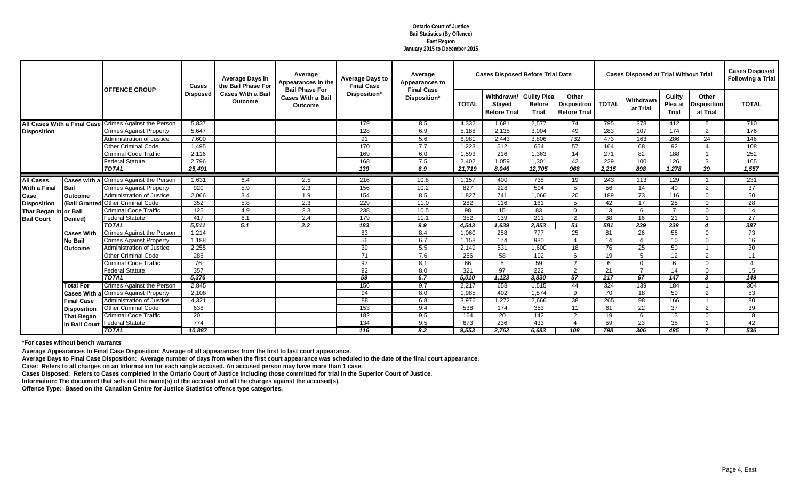|                             |                    |                                               | <b>Cases</b>     | <b>Average Days in</b><br>the Bail Phase For | Average<br>Appearances in the                                       | <b>Average Days to</b><br><b>Final Case</b> | Average<br><b>Appearances to</b>  |              | <b>Cases Disposed Before Trial Date</b>            |                                                     |                                                    |              | <b>Cases Disposed at Trial Without Trial</b> |                                   |                                         | <b>Cases Disposed</b><br><b>Following a Trial</b> |
|-----------------------------|--------------------|-----------------------------------------------|------------------|----------------------------------------------|---------------------------------------------------------------------|---------------------------------------------|-----------------------------------|--------------|----------------------------------------------------|-----------------------------------------------------|----------------------------------------------------|--------------|----------------------------------------------|-----------------------------------|-----------------------------------------|---------------------------------------------------|
|                             |                    | <b>OFFENCE GROUP</b>                          | <b>Disposed</b>  | <b>Cases With a Bail</b><br>Outcome          | <b>Bail Phase For</b><br><b>Cases With a Bail</b><br><b>Outcome</b> | Disposition*                                | <b>Final Case</b><br>Disposition* | <b>TOTAL</b> | Withdrawn/<br><b>Stayed</b><br><b>Before Trial</b> | <b>Guilty Plea</b><br><b>Before</b><br><b>Trial</b> | Other<br><b>Disposition</b><br><b>Before Trial</b> | <b>TOTAL</b> | Withdrawn<br>at Trial                        | Guilty<br>Plea at<br><b>Trial</b> | Other<br><b>Disposition</b><br>at Trial | <b>TOTAL</b>                                      |
| All Cases With a Final Case |                    | <b>Crimes Against the Person</b>              | 5,837            |                                              |                                                                     | 179                                         | 8.5                               | 4,332        | 1,681                                              | 2,577                                               | 74                                                 | 795          | 378                                          | 412                               | .5                                      | 710                                               |
| <b>Disposition</b>          |                    | <b>Crimes Against Property</b>                | 5,647            |                                              |                                                                     | 128                                         | 6.9                               | 5,188        | 2,135                                              | 3,004                                               | 49                                                 | 283          | 107                                          | 174                               | $\overline{2}$                          | 176                                               |
|                             |                    | <b>Administration of Justice</b>              | 7,600            |                                              |                                                                     | 91                                          | 5.6                               | 6,981        | 2,443                                              | 3,806                                               | 732                                                | 473          | 163                                          | 286                               | 24                                      | 146                                               |
|                             |                    | <b>Other Criminal Code</b>                    | 1,495            |                                              |                                                                     | 170                                         | 7.7                               | 1,223        | 512                                                | 654                                                 | 57                                                 | 164          | 68                                           | 92                                |                                         | 108                                               |
|                             |                    | <b>Criminal Code Traffic</b>                  | 2,116            |                                              |                                                                     | 169                                         | 6.0                               | 1,593        | 216                                                | 1,363                                               | 14                                                 | 271          | 82                                           | 188                               |                                         | 252                                               |
|                             |                    | <b>Federal Statute</b>                        | 2,796            |                                              |                                                                     | 168                                         | 7.5                               | 2,402        | 1,059                                              | 1,301                                               | 42                                                 | 229          | 100                                          | 126                               | 3                                       | 165                                               |
|                             |                    | <b>TOTAL</b>                                  | 25,491           |                                              |                                                                     | 139                                         | 6.9                               | 21,719       | 8,046                                              | 12,705                                              | 968                                                | 2,215        | 898                                          | 1,278                             | 39                                      | 1,557                                             |
| <b>All Cases</b>            |                    | <b>Cases with a Crimes Against the Person</b> | 1,631            | 6.4                                          | 2.5                                                                 | 216                                         | 10.8                              | 1,157        | 400                                                | 738                                                 | $\overline{19}$                                    | 243          | 113                                          | 129                               | - 1                                     | 231                                               |
| <b>With a Final</b>         | Bail               | <b>Crimes Against Property</b>                | 920              | 5.9                                          | 2.3                                                                 | 156                                         | 10.2                              | 827          | 228                                                | 594                                                 | 5                                                  | 56           | 14                                           | 40                                | 2                                       | 37                                                |
| <b>Case</b>                 | <b>Outcome</b>     | <b>Administration of Justice</b>              | 2,066            | 3.4                                          | 1.9                                                                 | 154                                         | 8.5                               | 1,827        | 741                                                | 1,066                                               | 20                                                 | 189          | 73                                           | 116                               | $\Omega$                                | 50                                                |
| <b>Disposition</b>          | (Bail Granted      | <b>Other Criminal Code</b>                    | 352              | 5.8                                          | 2.3                                                                 | 229                                         | 11.0                              | 282          | 116                                                | 161                                                 | 5                                                  | 42           | 17                                           | 25                                | $\Omega$                                | 28                                                |
| That Began in or Bail       |                    | <b>Criminal Code Traffic</b>                  | 125              | 4.9                                          | 2.3                                                                 | 238                                         | 10.5                              | 98           | 15                                                 | 83                                                  | $\Omega$                                           | 13           | 6                                            | $\overline{7}$                    | $\Omega$                                | 14                                                |
| <b>Bail Court</b>           | Denied)            | <b>Federal Statute</b>                        | 417              | 6.1                                          | 2.4                                                                 | 179                                         | 11.1                              | 352          | 139                                                | 211                                                 | 2                                                  | 38           | 16                                           | 21                                |                                         | 27                                                |
|                             |                    | <b>TOTAL</b>                                  | 5,511            | 5.1                                          | 2.2                                                                 | 183                                         | 9.9                               | 4,543        | 1,639                                              | 2,853                                               | 51                                                 | 581          | 239                                          | 338                               | $\overline{\mathbf{A}}$                 | 387                                               |
|                             | <b>Cases With</b>  | Crimes Against the Person                     | 1,214            |                                              |                                                                     | 83                                          | 8.4                               | 1,060        | 258                                                | 777                                                 | 25                                                 | 81           | 26                                           | 55                                | $\Omega$                                | 73                                                |
|                             | <b>No Bail</b>     | <b>Crimes Against Property</b>                | 1,188            |                                              |                                                                     | 56                                          | 6.7                               | 1,158        | 174                                                | 980                                                 | $\boldsymbol{\varDelta}$                           | 14           | 4                                            | 10                                | $\Omega$                                | 16                                                |
|                             | <b>Outcome</b>     | <b>Administration of Justice</b>              | 2,255            |                                              |                                                                     | 39                                          | 5.5                               | 2,149        | 531                                                | 1,600                                               | 18                                                 | 76           | 25                                           | 50                                |                                         | 30                                                |
|                             |                    | <b>Other Criminal Code</b>                    | 286              |                                              |                                                                     | 71                                          | 7.6                               | 256          | 58                                                 | 192                                                 | 6                                                  | 19           | 5                                            | 12                                | $\overline{2}$                          | 11                                                |
|                             |                    | <b>Criminal Code Traffic</b>                  | 76               |                                              |                                                                     | 97                                          | 8.1                               | 66           | 5                                                  | 59                                                  | $\overline{2}$                                     | $\epsilon$   | $\Omega$                                     | 6                                 | $\Omega$                                | $\boldsymbol{\Delta}$                             |
|                             |                    | <b>Federal Statute</b>                        | 357              |                                              |                                                                     | 92                                          | 8.0                               | 321          | 97                                                 | 222                                                 | 2                                                  | 21           | $\overline{7}$                               | 14                                | $\Omega$                                | 15                                                |
|                             |                    | <b>TOTAL</b>                                  | 5,376            |                                              |                                                                     | 59                                          | 6.7                               | 5,010        | 1,123                                              | 3,830                                               | 57                                                 | 217          | 67                                           | 147                               | 3                                       | 149                                               |
|                             | <b>Total For</b>   | <b>Crimes Against the Person</b>              | 2,845            |                                              |                                                                     | 156                                         | 9.7                               | 2,217        | 658                                                | 1,515                                               | 44                                                 | 324          | 139                                          | 184                               |                                         | 304                                               |
|                             |                    | <b>Cases With a Crimes Against Property</b>   | 2,108            |                                              |                                                                     | 94                                          | 8.0                               | 1,985        | 402                                                | 1,574                                               | 9                                                  | 70           | 18                                           | 50                                | $\overline{2}$                          | 53                                                |
|                             | <b>Final Case</b>  | <b>Administration of Justice</b>              | 4,321            |                                              |                                                                     | 88                                          | 6.8                               | 3,976        | 1,272                                              | 2,666                                               | 38                                                 | 265          | 98                                           | 166                               |                                         | 80                                                |
|                             | <b>Disposition</b> | <b>Other Criminal Code</b>                    | 638              |                                              |                                                                     | 153                                         | 9.4                               | 538          | 174                                                | 353                                                 | 11                                                 | 61           | 22                                           | 37                                | 2                                       | 39                                                |
|                             | <b>That Began</b>  | <b>Criminal Code Traffic</b>                  | 201              |                                              |                                                                     | 182                                         | 9.5                               | 164          | 20                                                 | 142                                                 | 2                                                  | 19           | 6                                            | 13                                | $\Omega$                                | 18                                                |
|                             |                    | in Bail Court Federal Statute                 | $\overline{774}$ |                                              |                                                                     | 134                                         | 9.5                               | 673          | 236                                                | 433                                                 |                                                    | 59           | 23                                           | 35                                |                                         | 42                                                |
|                             |                    | <b>TOTAL</b>                                  | 10,887           |                                              |                                                                     | 116                                         | 8.2                               | 9,553        | 2,762                                              | 6,683                                               | 108                                                | 798          | 306                                          | 485                               |                                         | 536                                               |

**Average Appearances to Final Case Disposition: Average of all appearances from the first to last court appearance.**

**Average Days to Final Case Disposition: Average number of days from when the first court appearance was scheduled to the date of the final court appearance.**

**Case: Refers to all charges on an Information for each single accused. An accused person may have more than 1 case.**

**Cases Disposed: Refers to Cases completed in the Ontario Court of Justice including those committed for trial in the Superior Court of Justice.**

**Information: The document that sets out the name(s) of the accused and all the charges against the accused(s).**

**Offence Type: Based on the Canadian Centre for Justice Statistics offence type categories.**

**Ontario Court of Justice Bail Statistics (By Offence) East Region January 2015 to December 2015**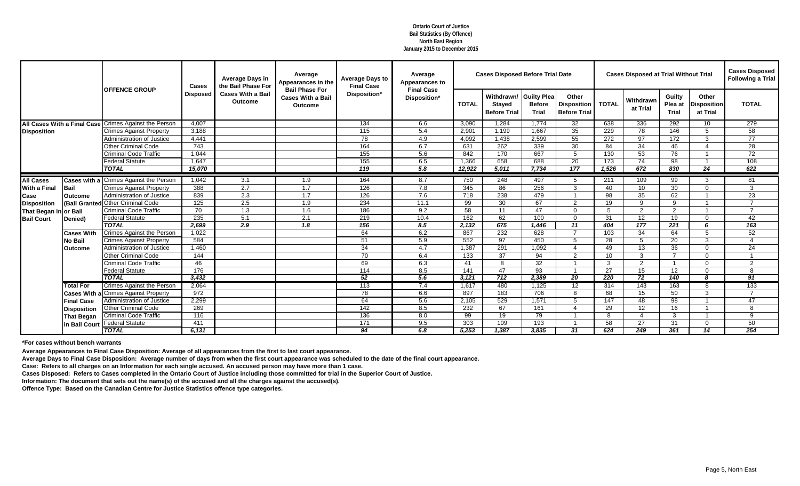|                                    |                    |                                               | Cases            | <b>Average Days in</b><br>the Bail Phase For | Average<br>Appearances in the                                       | <b>Average Days to</b><br><b>Final Case</b> | Average<br>Appearances to         |              | <b>Cases Disposed Before Trial Date</b>            |                                                     |                                                    |                  | <b>Cases Disposed at Trial Without Trial</b> |                                   |                                         | <b>Cases Disposed</b><br><b>Following a Trial</b> |
|------------------------------------|--------------------|-----------------------------------------------|------------------|----------------------------------------------|---------------------------------------------------------------------|---------------------------------------------|-----------------------------------|--------------|----------------------------------------------------|-----------------------------------------------------|----------------------------------------------------|------------------|----------------------------------------------|-----------------------------------|-----------------------------------------|---------------------------------------------------|
|                                    |                    | <b>OFFENCE GROUP</b>                          | <b>Disposed</b>  | <b>Cases With a Bail</b><br><b>Outcome</b>   | <b>Bail Phase For</b><br><b>Cases With a Bail</b><br><b>Outcome</b> | Disposition*                                | <b>Final Case</b><br>Disposition* | <b>TOTAL</b> | Withdrawn/<br><b>Stayed</b><br><b>Before Trial</b> | <b>Guilty Plea</b><br><b>Before</b><br><b>Trial</b> | Other<br><b>Disposition</b><br><b>Before Trial</b> | <b>TOTAL</b>     | Withdrawn<br>at Trial                        | Guilty<br>Plea at<br><b>Trial</b> | Other<br><b>Disposition</b><br>at Trial | <b>TOTAL</b>                                      |
| <b>All Cases With a Final Case</b> |                    | <b>Crimes Against the Person</b>              | 4,007            |                                              |                                                                     | 134                                         | 6.6                               | 3,090        | 1,284                                              | 1,774                                               | 32                                                 | 638              | 336                                          | 292                               | 10                                      | 279                                               |
| <b>Disposition</b>                 |                    | <b>Crimes Against Property</b>                | 3,188            |                                              |                                                                     | 115                                         | 5.4                               | 2,901        | 1,199                                              | 1,667                                               | 35                                                 | 229              | 78                                           | 146                               | 5                                       | 58                                                |
|                                    |                    | Administration of Justice                     | 4,441            |                                              |                                                                     | 78                                          | 4.9                               | 4,092        | 1,438                                              | 2,599                                               | 55                                                 | 272              | 97                                           | 172                               | 3                                       | $\overline{77}$                                   |
|                                    |                    | <b>Other Criminal Code</b>                    | 743              |                                              |                                                                     | 164                                         | 6.7                               | 631          | 262                                                | 339                                                 | 30                                                 | 84               | 34                                           | 46                                |                                         | 28                                                |
|                                    |                    | <b>Criminal Code Traffic</b>                  | 1,044            |                                              |                                                                     | 155                                         | 5.6                               | 842          | 170                                                | 667                                                 | 5                                                  | 130              | 53                                           | 76                                |                                         | 72                                                |
|                                    |                    | <b>Federal Statute</b>                        | 1,647            |                                              |                                                                     | 155                                         | 6.5                               | 1,366        | 658                                                | 688                                                 | 20                                                 | 173              | 74                                           | 98                                |                                         | 108                                               |
|                                    |                    | <b>TOTAL</b>                                  | 15,070           |                                              |                                                                     | 119                                         | 5.8                               | 12,922       | 5,011                                              | 7,734                                               | 177                                                | 1,526            | 672                                          | 830                               | 24                                      | 622                                               |
| <b>All Cases</b>                   |                    | <b>Cases with a Crimes Against the Person</b> | 1,042            | 3.1                                          | $\overline{1.9}$                                                    | 164                                         | 8.7                               | 750          | 248                                                | 497                                                 | -5                                                 | $\overline{211}$ | 109                                          | 99                                | 3                                       | 81                                                |
| <b>With a Final</b>                | Bail               | <b>Crimes Against Property</b>                | 388              | 2.7                                          | 1.7                                                                 | 126                                         | 7.8                               | 345          | 86                                                 | 256                                                 | 3                                                  | 40               | 10                                           | 30                                | $\Omega$                                | $\mathbf{3}$                                      |
| <b>Case</b>                        | <b>Outcome</b>     | Administration of Justice                     | 839              | 2.3                                          | 1.7                                                                 | 126                                         | 7.6                               | 718          | 238                                                | 479                                                 |                                                    | 98               | 35                                           | 62                                |                                         | 23                                                |
| <b>Disposition</b>                 | (Bail Granted      | <b>Other Criminal Code</b>                    | $\overline{125}$ | 2.5                                          | 1.9                                                                 | 234                                         | 11.1                              | 99           | 30                                                 | 67                                                  | 2                                                  | 19               | 9                                            | 9                                 |                                         | $\overline{7}$                                    |
| That Began in or Bail              |                    | <b>Criminal Code Traffic</b>                  | 70               | 1.3                                          | 1.6                                                                 | 186                                         | 9.2                               | 58           | 11                                                 | 47                                                  | $\Omega$                                           | 5                | 2                                            | 2                                 |                                         | $\overline{7}$                                    |
| <b>Bail Court</b>                  | Denied)            | <b>Federal Statute</b>                        | 235              | $\overline{5.1}$                             | 2.1                                                                 | 219                                         | 10.4                              | 162          | 62                                                 | 100                                                 | $\Omega$                                           | 31               | 12                                           | 19                                | $\Omega$                                | 42                                                |
|                                    |                    | <b>TOTAL</b>                                  | 2,699            | $\overline{2.9}$                             | 1.8                                                                 | 156                                         | 8.5                               | 2,132        | 675                                                | 1,446                                               | 11                                                 | 404              | $\frac{1}{177}$                              | 221                               | 6                                       | 163                                               |
|                                    | <b>Cases With</b>  | Crimes Against the Person                     | 1,022            |                                              |                                                                     | 64                                          | 6.2                               | 867          | 232                                                | 628                                                 | $\overline{7}$                                     | 103              | 34                                           | 64                                | 5                                       | 52                                                |
|                                    | <b>No Bail</b>     | <b>Crimes Against Property</b>                | 584              |                                              |                                                                     | 51                                          | 5.9                               | 552          | 97                                                 | 450                                                 | 5                                                  | 28               | 5                                            | 20                                | 3                                       | $\boldsymbol{\varDelta}$                          |
|                                    | lOutcome           | <b>Administration of Justice</b>              | 1,460            |                                              |                                                                     | 34                                          | 4.7                               | 1,387        | 291                                                | 1,092                                               | $\Delta$                                           | 49               | 13                                           | 36                                | ∩                                       | 24                                                |
|                                    |                    | Other Criminal Code                           | 144              |                                              |                                                                     | 70                                          | 6.4                               | 133          | 37                                                 | 94                                                  | 2                                                  | 10               | $\mathbf{3}$                                 | 7                                 | ∩                                       |                                                   |
|                                    |                    | <b>Criminal Code Traffic</b>                  | 46               |                                              |                                                                     | 69                                          | 6.3                               | 41           | 8                                                  | 32                                                  |                                                    | 3                | 2                                            |                                   | ∩                                       | 2                                                 |
|                                    |                    | <b>Federal Statute</b>                        | 176              |                                              |                                                                     | 114                                         | 8.5                               | 141          | 47                                                 | 93                                                  |                                                    | 27               | 15                                           | 12                                | $\Omega$                                | 8                                                 |
|                                    |                    | <b>TOTAL</b>                                  | 3,432            |                                              |                                                                     | 52                                          | 5.6                               | 3,121        | 712                                                | 2,389                                               | $\overline{20}$                                    | 220              | $\overline{72}$                              | $\overline{140}$                  | 8                                       | 91                                                |
|                                    | <b>Total For</b>   | <b>Crimes Against the Person</b>              | 2,064            |                                              |                                                                     | 113                                         | 7.4                               | 1,617        | 480                                                | 1,125                                               | 12 <sup>°</sup>                                    | 314              | 143                                          | 163                               | 8                                       | 133                                               |
|                                    |                    | <b>Cases With a Crimes Against Property</b>   | 972              |                                              |                                                                     | 78                                          | 6.6                               | 897          | 183                                                | 706                                                 | 8                                                  | 68               | 15                                           | 50                                | 3                                       | $\overline{7}$                                    |
|                                    | <b>Final Case</b>  | Administration of Justice                     | 2,299            |                                              |                                                                     | 64                                          | 5.6                               | 2,105        | 529                                                | 1,571                                               | 5                                                  | 147              | 48                                           | 98                                |                                         | 47                                                |
|                                    | <b>Disposition</b> | Other Criminal Code                           | 269              |                                              |                                                                     | 142                                         | 8.5                               | 232          | 67                                                 | 161                                                 | $\overline{\mathcal{L}}$                           | 29               | 12                                           | 16                                |                                         | 8                                                 |
|                                    | <b>That Began</b>  | <b>Criminal Code Traffic</b>                  | 116              |                                              |                                                                     | 136                                         | 8.0                               | 99           | 19                                                 | 79                                                  |                                                    | 8                |                                              | 3                                 |                                         | 9                                                 |
|                                    | in Bail Court      | <b>Federal Statute</b>                        | 411              |                                              |                                                                     | 171                                         | 9.5                               | 303          | 109                                                | 193                                                 |                                                    | 58               | 27                                           | 31                                | $\Omega$                                | 50                                                |
|                                    |                    | <b>TOTAL</b>                                  | 6,131            |                                              |                                                                     | 94                                          | 6.8                               | 5,253        | 1,387                                              | 3,835                                               | 31                                                 | 624              | 249                                          | 361                               | $\overline{14}$                         | 254                                               |

**Average Appearances to Final Case Disposition: Average of all appearances from the first to last court appearance.**

**Average Days to Final Case Disposition: Average number of days from when the first court appearance was scheduled to the date of the final court appearance.**

**Case: Refers to all charges on an Information for each single accused. An accused person may have more than 1 case.**

**Cases Disposed: Refers to Cases completed in the Ontario Court of Justice including those committed for trial in the Superior Court of Justice.**

**Information: The document that sets out the name(s) of the accused and all the charges against the accused(s).**

**Offence Type: Based on the Canadian Centre for Justice Statistics offence type categories.**

**Ontario Court of Justice Bail Statistics (By Offence) North East Region January 2015 to December 2015**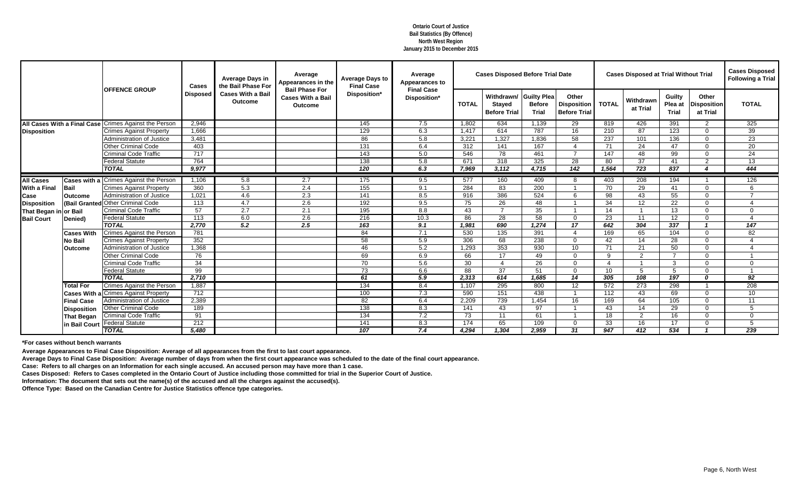|                                    |                    |                                               | <b>Cases</b>     | <b>Average Days in</b><br>the Bail Phase For | Average<br>Appearances in the                                       | <b>Average Days to</b><br><b>Final Case</b> | Average<br><b>Appearances to</b>  |              | <b>Cases Disposed Before Trial Date</b>            |                                                     |                                                    |                 | <b>Cases Disposed at Trial Without Trial</b> |                                   |                                         | <b>Cases Disposed</b><br><b>Following a Trial</b> |
|------------------------------------|--------------------|-----------------------------------------------|------------------|----------------------------------------------|---------------------------------------------------------------------|---------------------------------------------|-----------------------------------|--------------|----------------------------------------------------|-----------------------------------------------------|----------------------------------------------------|-----------------|----------------------------------------------|-----------------------------------|-----------------------------------------|---------------------------------------------------|
|                                    |                    | <b>OFFENCE GROUP</b>                          | <b>Disposed</b>  | <b>Cases With a Bail</b><br><b>Outcome</b>   | <b>Bail Phase For</b><br><b>Cases With a Bail</b><br><b>Outcome</b> | Disposition*                                | <b>Final Case</b><br>Disposition* | <b>TOTAL</b> | Withdrawn/<br><b>Stayed</b><br><b>Before Trial</b> | <b>Guilty Plea</b><br><b>Before</b><br><b>Trial</b> | Other<br><b>Disposition</b><br><b>Before Trial</b> | <b>TOTAL</b>    | Withdrawn<br>at Trial                        | Guilty<br>Plea at<br><b>Trial</b> | Other<br><b>Disposition</b><br>at Trial | <b>TOTAL</b>                                      |
| <b>All Cases With a Final Case</b> |                    | <b>Crimes Against the Person</b>              | 2,946            |                                              |                                                                     | 145                                         | 7.5                               | 1,802        | 634                                                | 1,139                                               | 29                                                 | 819             | 426                                          | 391                               | 2                                       | 325                                               |
| <b>Disposition</b>                 |                    | <b>Crimes Against Property</b>                | 1,666            |                                              |                                                                     | 129                                         | 6.3                               | 1,417        | 614                                                | 787                                                 | 16                                                 | 210             | 87                                           | 123                               | $\Omega$                                | 39                                                |
|                                    |                    | <b>Administration of Justice</b>              | 3,481            |                                              |                                                                     | 86                                          | 5.8                               | 3,221        | 1,327                                              | 1,836                                               | 58                                                 | 237             | 101                                          | 136                               | $\Omega$                                | 23                                                |
|                                    |                    | <b>Other Criminal Code</b>                    | 403              |                                              |                                                                     | 131                                         | 6.4                               | 312          | 141                                                | 167                                                 | $\boldsymbol{\Delta}$                              | 71              | 24                                           | 47                                | $\Omega$                                | 20                                                |
|                                    |                    | <b>Criminal Code Traffic</b>                  | 717              |                                              |                                                                     | 143                                         | 5.0                               | 546          | 78                                                 | 461                                                 | $\overline{7}$                                     | 147             | 48                                           | 99                                | $\Omega$                                | 24                                                |
|                                    |                    | <b>Federal Statute</b>                        | 764              |                                              |                                                                     | 138                                         | 5.8                               | 671          | 318                                                | 325                                                 | 28                                                 | 80              | 37                                           | 41                                | $\overline{2}$                          | 13                                                |
|                                    |                    | <b>TOTAL</b>                                  | 9,977            |                                              |                                                                     | 120                                         | 6.3                               | 7,969        | 3,112                                              | 4,715                                               | $\overline{142}$                                   | 1,564           | 723                                          | 837                               | ◢                                       | 444                                               |
| <b>All Cases</b>                   |                    | <b>Cases with a Crimes Against the Person</b> | 1,106            | 5.8                                          | 2.7                                                                 | 175                                         | 9.5                               | 577          | 160                                                | 409                                                 | -8                                                 | 403             | 208                                          | 194                               |                                         | 126                                               |
| <b>With a Final</b>                | Bail               | <b>Crimes Against Property</b>                | 360              | 5.3                                          | 2.4                                                                 | 155                                         | 9.1                               | 284          | 83                                                 | 200                                                 |                                                    | 70              | 29                                           | 41                                | $\Omega$                                | 6                                                 |
| <b>Case</b>                        | <b>Outcome</b>     | <b>Administration of Justice</b>              | 1,021            | 4.6                                          | 2.3                                                                 | 141                                         | 8.5                               | 916          | 386                                                | 524                                                 | 6                                                  | 98              | 43                                           | 55                                | $\Omega$                                | $\overline{7}$                                    |
| <b>Disposition</b>                 | (Bail Granted      | <b>Other Criminal Code</b>                    | 113              | 4.7                                          | 2.6                                                                 | 192                                         | 9.5                               | 75           | 26                                                 | 48                                                  |                                                    | 34              | 12                                           | 22                                | $\Omega$                                |                                                   |
| That Began in or Bail              |                    | <b>Criminal Code Traffic</b>                  | 57               | 2.7                                          | 2.1                                                                 | 195                                         | 8.8                               | 43           | $\overline{7}$                                     | 35                                                  |                                                    | 14              | $\overline{1}$                               | 13                                | $\Omega$                                | $\Omega$                                          |
| <b>Bail Court</b>                  | Denied)            | <b>Federal Statute</b>                        | 113              | $6.0\,$                                      | 2.6                                                                 | 216                                         | 10.3                              | 86           | 28                                                 | $\overline{58}$                                     | $\Omega$                                           | 23              | 11                                           | 12                                | $\Omega$                                | $\boldsymbol{\Delta}$                             |
|                                    |                    | <b>TOTAL</b>                                  | 2,770            | 5.2                                          | 2.5                                                                 | 163                                         | 9.1                               | 1,981        | 690                                                | 1,274                                               | 17                                                 | 642             | 304                                          | 337                               | $\overline{\phantom{a}}$                | $\overline{147}$                                  |
|                                    | <b>Cases With</b>  | <b>Crimes Against the Person</b>              | 781              |                                              |                                                                     | 84                                          | 7.1                               | 530          | 135                                                | 391                                                 | 4                                                  | 169             | 65                                           | 104                               | $\Omega$                                | 82                                                |
|                                    | <b>No Bail</b>     | <b>Crimes Against Property</b>                | 352              |                                              |                                                                     | 58                                          | 5.9                               | 306          | 68                                                 | 238                                                 | $\Omega$                                           | 42              | 14                                           | 28                                | $\Omega$                                |                                                   |
|                                    | <b>Outcome</b>     | <b>Administration of Justice</b>              | 1,368            |                                              |                                                                     | 46                                          | 5.2                               | 1,293        | 353                                                | 930                                                 | 10 <sup>1</sup>                                    | 71              | 21                                           | 50                                | $\Omega$                                |                                                   |
|                                    |                    | <b>Other Criminal Code</b>                    | 76               |                                              |                                                                     | 69                                          | 6.9                               | 66           | 17                                                 | 49                                                  | $\Omega$                                           | 9               | $\overline{2}$                               | 7                                 | ∩                                       |                                                   |
|                                    |                    | <b>Criminal Code Traffic</b>                  | 34               |                                              |                                                                     | 70                                          | 5.6                               | 30           | $\boldsymbol{\Delta}$                              | 26                                                  | $\Omega$                                           |                 |                                              | 3                                 | ∩                                       | $\overline{0}$                                    |
|                                    |                    | <b>Federal Statute</b>                        | 99               |                                              |                                                                     | 73                                          | 6.6                               | 88           | 37                                                 | 51                                                  | $\Omega$                                           | 10 <sup>°</sup> | 5                                            | 5                                 | $\Omega$                                | $\overline{1}$                                    |
|                                    |                    | <b>TOTAL</b>                                  | 2,710            |                                              |                                                                     | 61                                          | 5.9                               | 2,313        | 614                                                | 1,685                                               | 14                                                 | 305             | 108                                          | 197                               | n                                       | $\overline{92}$                                   |
|                                    | <b>Total For</b>   | <b>Crimes Against the Person</b>              | 1,887            |                                              |                                                                     | 134                                         | 8.4                               | 1,107        | 295                                                | 800                                                 | 12 <sup>°</sup>                                    | 572             | 273                                          | 298                               |                                         | 208                                               |
|                                    |                    | <b>Cases With a Crimes Against Property</b>   | 712              |                                              |                                                                     | 100                                         | 7.3                               | 590          | 151                                                | 438                                                 |                                                    | 112             | 43                                           | 69                                | $\Omega$                                | 10 <sup>°</sup>                                   |
|                                    | <b>Final Case</b>  | <b>Administration of Justice</b>              | 2,389            |                                              |                                                                     | 82                                          | 6.4                               | 2,209        | 739                                                | 1,454                                               | 16                                                 | 169             | 64                                           | 105                               | $\Omega$                                | 11                                                |
|                                    | <b>Disposition</b> | <b>Other Criminal Code</b>                    | 189              |                                              |                                                                     | 138                                         | 8.3                               | 141          | 43                                                 | 97                                                  |                                                    | 43              | 14                                           | 29                                | $\Omega$                                | 5                                                 |
|                                    | That Began         | <b>Criminal Code Traffic</b>                  | 91               |                                              |                                                                     | 134                                         | 7.2                               | 73           | 11                                                 | 61                                                  |                                                    | 18              | 2                                            | 16                                | 0                                       | $\Omega$                                          |
|                                    | in Bail Court      | <b>Federal Statute</b>                        | $\overline{212}$ |                                              |                                                                     | 141                                         | 8.3                               | 174          | 65                                                 | 109                                                 | $\Omega$                                           | 33              | 16                                           | 17                                | $\Omega$                                | 5                                                 |
|                                    |                    | <b>TOTAL</b>                                  | 5,480            |                                              |                                                                     | 107                                         | 7.4                               | 4,294        | 1,304                                              | 2,959                                               | 31                                                 | 947             | 412                                          | 534                               |                                         | 239                                               |

**Average Appearances to Final Case Disposition: Average of all appearances from the first to last court appearance.**

**Average Days to Final Case Disposition: Average number of days from when the first court appearance was scheduled to the date of the final court appearance.**

**Case: Refers to all charges on an Information for each single accused. An accused person may have more than 1 case.**

**Cases Disposed: Refers to Cases completed in the Ontario Court of Justice including those committed for trial in the Superior Court of Justice.**

**Information: The document that sets out the name(s) of the accused and all the charges against the accused(s).**

**Offence Type: Based on the Canadian Centre for Justice Statistics offence type categories.**

**Ontario Court of Justice Bail Statistics (By Offence) North West Region January 2015 to December 2015**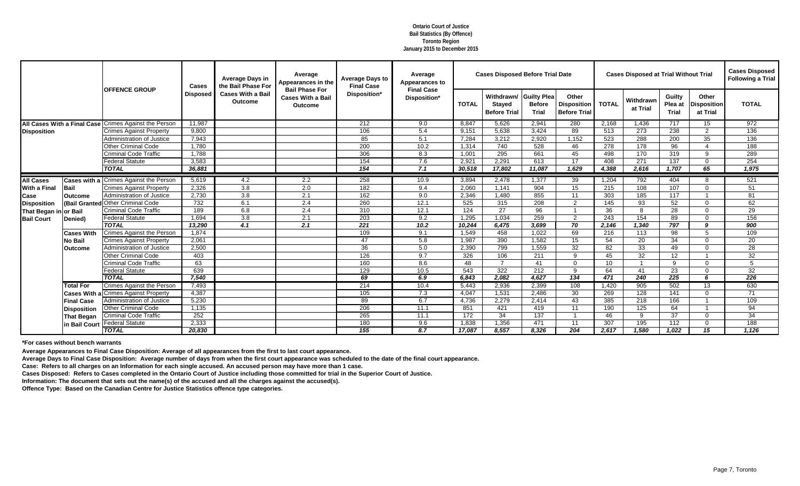|                       |                    |                                                       | <b>Cases</b>    | <b>Average Days in</b><br>the Bail Phase For | Average<br>Appearances in the                                       | <b>Average Days to</b><br><b>Final Case</b> | Average<br><b>Appearances to</b>  |              | <b>Cases Disposed Before Trial Date</b>            |                                                     |                                                    |              | <b>Cases Disposed at Trial Without Trial</b> |                                          |                                         | <b>Cases Disposed</b><br><b>Following a Trial</b> |
|-----------------------|--------------------|-------------------------------------------------------|-----------------|----------------------------------------------|---------------------------------------------------------------------|---------------------------------------------|-----------------------------------|--------------|----------------------------------------------------|-----------------------------------------------------|----------------------------------------------------|--------------|----------------------------------------------|------------------------------------------|-----------------------------------------|---------------------------------------------------|
|                       |                    | <b>OFFENCE GROUP</b>                                  | <b>Disposed</b> | <b>Cases With a Bail</b><br><b>Outcome</b>   | <b>Bail Phase For</b><br><b>Cases With a Bail</b><br><b>Outcome</b> | Disposition*                                | <b>Final Case</b><br>Disposition* | <b>TOTAL</b> | Withdrawn/<br><b>Stayed</b><br><b>Before Trial</b> | <b>Guilty Plea</b><br><b>Before</b><br><b>Trial</b> | Other<br><b>Disposition</b><br><b>Before Trial</b> | <b>TOTAL</b> | Withdrawn<br>at Trial                        | <b>Guilty</b><br>Plea at<br><b>Trial</b> | Other<br><b>Disposition</b><br>at Trial | <b>TOTAL</b>                                      |
|                       |                    | All Cases With a Final Case Crimes Against the Person | 11,987          |                                              |                                                                     | 212                                         | 9.0                               | 8,847        | 5,626                                              | 2,941                                               | 280                                                | 2,168        | 1,436                                        | 717                                      | 15                                      | 972                                               |
| <b>Disposition</b>    |                    | <b>Crimes Against Property</b>                        | 9,800           |                                              |                                                                     | 106                                         | 5.4                               | 9,151        | 5,638                                              | 3,424                                               | 89                                                 | 513          | 273                                          | 238                                      | $\overline{2}$                          | 136                                               |
|                       |                    | <b>Administration of Justice</b>                      | 7,943           |                                              |                                                                     | 85                                          | 5.1                               | 7,284        | 3,212                                              | 2,920                                               | 1,152                                              | 523          | 288                                          | 200                                      | 35                                      | 136                                               |
|                       |                    | <b>Other Criminal Code</b>                            | 1,780           |                                              |                                                                     | 200                                         | 10.2                              | 1,314        | 740                                                | 528                                                 | 46                                                 | 278          | 178                                          | 96                                       |                                         | 188                                               |
|                       |                    | <b>Criminal Code Traffic</b>                          | 1,788           |                                              |                                                                     | 306                                         | 8.3                               | 1,001        | 295                                                | 661                                                 | 45                                                 | 498          | 170                                          | 319                                      | 9                                       | 289                                               |
|                       |                    | <b>Federal Statute</b>                                | 3,583           |                                              |                                                                     | 154                                         | 7.6                               | 2,921        | 2,291                                              | 613                                                 | 17                                                 | 408          | 271                                          | 137                                      | $\Omega$                                | 254                                               |
|                       |                    | <b>TOTAL</b>                                          | 36,881          |                                              |                                                                     | 154                                         | 7.1                               | 30,518       | 17,802                                             | 11,087                                              | 1,629                                              | 4,388        | 2,616                                        | 1,707                                    | 65                                      | 1,975                                             |
| <b>All Cases</b>      |                    | <b>Cases with a Crimes Against the Person</b>         | 5,619           | 4.2                                          | 2.2                                                                 | 258                                         | 10.9                              | 3,894        | 2,478                                              | 1,377                                               | 39                                                 | 1,204        | 792                                          | 404                                      | 8                                       | 521                                               |
| <b>With a Final</b>   | <b>Bail</b>        | <b>Crimes Against Property</b>                        | 2,326           | 3.8                                          | 2.0                                                                 | 182                                         | 9.4                               | 2,060        | 1,141                                              | 904                                                 | 15                                                 | 215          | 108                                          | 107                                      | $\Omega$                                | 51                                                |
| <b>I</b> Case         | <b>Outcome</b>     | Administration of Justice                             | 2,730           | 3.8                                          | 2.1                                                                 | 162                                         | 9.0                               | 2,346        | 1,480                                              | 855                                                 | 11                                                 | 303          | 185                                          | 117                                      |                                         | 81                                                |
| <b>Disposition</b>    | (Bail Granted      | <b>Other Criminal Code</b>                            | 732             | 6.1                                          | 2.4                                                                 | 260                                         | 12.1                              | 525          | 315                                                | 208                                                 | $\overline{2}$                                     | 145          | 93                                           | 52                                       | $\Omega$                                | 62                                                |
| That Began in or Bail |                    | <b>Criminal Code Traffic</b>                          | 189             | 6.8                                          | 2.4                                                                 | 310                                         | 12.1                              | 124          | 27                                                 | 96                                                  |                                                    | 36           | 8                                            | 28                                       | $\Omega$                                | 29                                                |
| <b>Bail Court</b>     | Denied)            | <b>Federal Statute</b>                                | 1,694           | 3.8                                          | 2.1                                                                 | $\overline{203}$                            | 9.2                               | 1,295        | 1,034                                              | 259                                                 | $\overline{2}$                                     | 243          | $\overline{154}$                             | 89                                       | $\Omega$                                | 156                                               |
|                       |                    | <b>TOTAL</b>                                          | 13,290          | 4.1                                          | 2.1                                                                 | $\overline{221}$                            | 10.2                              | 10,244       | 6,475                                              | 3,699                                               | 70                                                 | 2,146        | 1,340                                        | 797                                      | Q                                       | 900                                               |
|                       | <b>Cases With</b>  | <b>Crimes Against the Person</b>                      | 1,874           |                                              |                                                                     | 109                                         | 9.1                               | 1,549        | 458                                                | 1,022                                               | 69                                                 | 216          | 113                                          | 98                                       | 5                                       | 109                                               |
|                       | <b>No Bail</b>     | <b>Crimes Against Property</b>                        | 2,061           |                                              |                                                                     | 47                                          | 5.8                               | 1,987        | 390                                                | 1,582                                               | 15                                                 | 54           | 20                                           | 34                                       | $\Omega$                                | 20                                                |
|                       | <b>Outcome</b>     | <b>Administration of Justice</b>                      | 2,500           |                                              |                                                                     | 36                                          | 5.0                               | 2,390        | 799                                                | 1,559                                               | 32                                                 | 82           | 33                                           | 49                                       | $\Omega$                                | 28                                                |
|                       |                    | <b>Other Criminal Code</b>                            | 403             |                                              |                                                                     | 126                                         | 9.7                               | 326          | 106                                                | 211                                                 | 9                                                  | 45           | 32                                           | 12                                       |                                         | 32                                                |
|                       |                    | <b>Criminal Code Traffic</b>                          | 63              |                                              |                                                                     | 160                                         | 8.6                               | 48           | $\overline{7}$                                     | 41                                                  | $\Omega$                                           | 10           | -1                                           | 9                                        | $\Omega$                                | 5                                                 |
|                       |                    | <b>Federal Statute</b>                                | 639             |                                              |                                                                     | 129                                         | 10.5                              | 543          | 322                                                | 212                                                 | $\mathbf{Q}$                                       | 64           | 41                                           | 23                                       | $\Omega$                                | $\overline{32}$                                   |
|                       |                    | <b>TOTAL</b>                                          | 7,540           |                                              |                                                                     | 69                                          | 6.9                               | 6,843        | 2,082                                              | 4,627                                               | 134                                                | 471          | 240                                          | 225                                      | 6                                       | 226                                               |
|                       | <b>Total For</b>   | <b>Crimes Against the Person</b>                      | 7,493           |                                              |                                                                     | 214                                         | 10.4                              | 5,443        | 2,936                                              | 2,399                                               | 108                                                | 1,420        | 905                                          | 502                                      | 13                                      | 630                                               |
|                       |                    | <b>Cases With a Crimes Against Property</b>           | 4,387           |                                              |                                                                     | 105                                         | 7.3                               | 4,047        | 1,531                                              | 2,486                                               | 30                                                 | 269          | 128                                          | 141                                      | $\Omega$                                | 71                                                |
|                       | <b>Final Case</b>  | <b>Administration of Justice</b>                      | 5,230           |                                              |                                                                     | 89                                          | 6.7                               | 4,736        | 2,279                                              | 2,414                                               | 43                                                 | 385          | 218                                          | 166                                      |                                         | 109                                               |
|                       | <b>Disposition</b> | <b>Other Criminal Code</b>                            | 1,135           |                                              |                                                                     | 206                                         | 11.1                              | 851          | 421                                                | 419                                                 | 11                                                 | 190          | 125                                          | 64                                       |                                         | 94                                                |
|                       | <b>That Began</b>  | <b>Criminal Code Traffic</b>                          | 252             |                                              |                                                                     | 265                                         | 11.1                              | 172          | 34                                                 | 137                                                 |                                                    | 46           | 9                                            | 37                                       | $\Omega$                                | 34                                                |
|                       | in Bail Court      | <b>Federal Statute</b>                                | 2,333           |                                              |                                                                     | 180                                         | 9.6                               | 1,838        | 1,356                                              | 471                                                 | 11                                                 | 307          | 195                                          | 112                                      | $\Omega$                                | 188                                               |
|                       |                    | <b>TOTAL</b>                                          | 20,830          |                                              |                                                                     | 155                                         | 8.7                               | 17,087       | 8,557                                              | 8,326                                               | 204                                                | 2,617        | 1,580                                        | 1,022                                    | 15                                      | 1,126                                             |

**Average Appearances to Final Case Disposition: Average of all appearances from the first to last court appearance.**

**Average Days to Final Case Disposition: Average number of days from when the first court appearance was scheduled to the date of the final court appearance.**

**Case: Refers to all charges on an Information for each single accused. An accused person may have more than 1 case.**

**Cases Disposed: Refers to Cases completed in the Ontario Court of Justice including those committed for trial in the Superior Court of Justice.**

**Information: The document that sets out the name(s) of the accused and all the charges against the accused(s).**

**Offence Type: Based on the Canadian Centre for Justice Statistics offence type categories.**

**Ontario Court of Justice Bail Statistics (By Offence) Toronto Region January 2015 to December 2015**